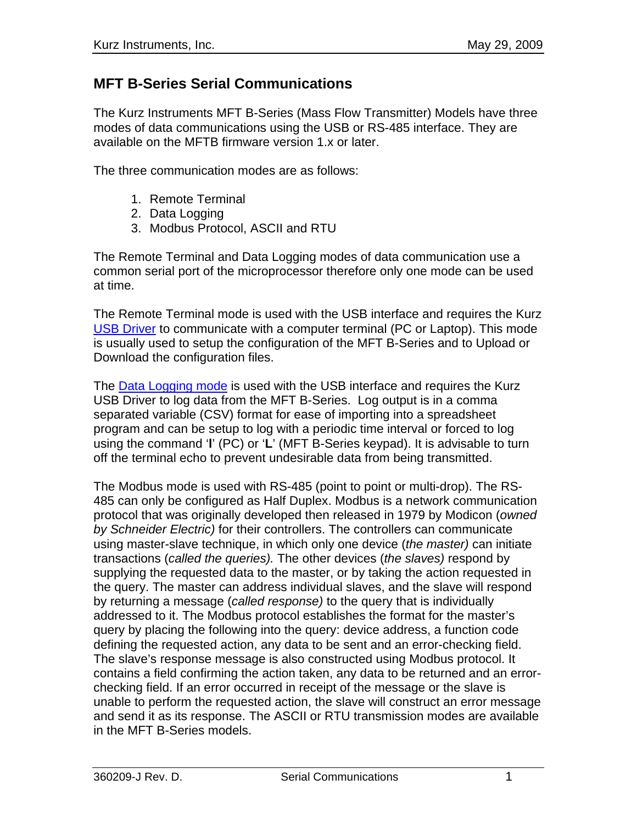### **MFT B-Series Serial Communications**

The Kurz Instruments MFT B-Series (Mass Flow Transmitter) Models have three modes of data communications using the USB or RS-485 interface. They are available on the MFTB firmware version 1.x or later.

The three communication modes are as follows:

- 1. Remote Terminal
- 2. Data Logging
- 3. Modbus Protocol, ASCII and RTU

The Remote Terminal and Data Logging modes of data communication use a common serial port of the microprocessor therefore only one mode can be used at time.

The Remote Terminal mode is used with the USB interface and requires the Kurz USB Driver to communicate with a computer terminal (PC or Laptop). This mode is usually used to setup the configuration of the MFT B-Series and to Upload or Download the configuration files.

The Data Logging mode is used with the USB interface and requires the Kurz USB Driver to log data from the MFT B-Series. Log output is in a comma separated variable (CSV) format for ease of importing into a spreadsheet program and can be setup to log with a periodic time interval or forced to log using the command '**l**' (PC) or '**L**' (MFT B-Series keypad). It is advisable to turn off the terminal echo to prevent undesirable data from being transmitted.

The Modbus mode is used with RS-485 (point to point or multi-drop). The RS-485 can only be configured as Half Duplex. Modbus is a network communication protocol that was originally developed then released in 1979 by Modicon (*owned by Schneider Electric)* for their controllers. The controllers can communicate using master-slave technique, in which only one device (*the master)* can initiate transactions (*called the queries).* The other devices (*the slaves)* respond by supplying the requested data to the master, or by taking the action requested in the query. The master can address individual slaves, and the slave will respond by returning a message (*called response)* to the query that is individually addressed to it. The Modbus protocol establishes the format for the master's query by placing the following into the query: device address, a function code defining the requested action, any data to be sent and an error-checking field. The slave's response message is also constructed using Modbus protocol. It contains a field confirming the action taken, any data to be returned and an errorchecking field. If an error occurred in receipt of the message or the slave is unable to perform the requested action, the slave will construct an error message and send it as its response. The ASCII or RTU transmission modes are available in the MFT B-Series models.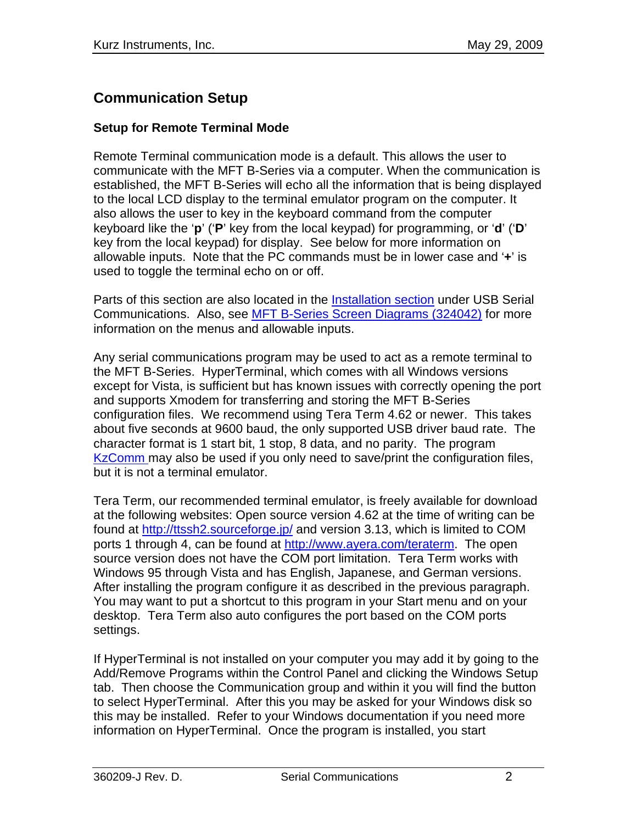# **Communication Setup**

### **Setup for Remote Terminal Mode**

Remote Terminal communication mode is a default. This allows the user to communicate with the MFT B-Series via a computer. When the communication is established, the MFT B-Series will echo all the information that is being displayed to the local LCD display to the terminal emulator program on the computer. It also allows the user to key in the keyboard command from the computer keyboard like the '**p**' ('**P**' key from the local keypad) for programming, or '**d**' ('**D**' key from the local keypad) for display. See below for more information on allowable inputs. Note that the PC commands must be in lower case and '**+**' is used to toggle the terminal echo on or off.

Parts of this section are also located in the Installation section under USB Serial Communications. Also, see MFT B-Series Screen Diagrams (324042) for more information on the menus and allowable inputs.

Any serial communications program may be used to act as a remote terminal to the MFT B-Series. HyperTerminal, which comes with all Windows versions except for Vista, is sufficient but has known issues with correctly opening the port and supports Xmodem for transferring and storing the MFT B-Series configuration files. We recommend using Tera Term 4.62 or newer. This takes about five seconds at 9600 baud, the only supported USB driver baud rate. The character format is 1 start bit, 1 stop, 8 data, and no parity. The program KzComm may also be used if you only need to save/print the configuration files, but it is not a terminal emulator.

Tera Term, our recommended terminal emulator, is freely available for download at the following websites: Open source version 4.62 at the time of writing can be found at <http://ttssh2.sourceforge.jp/> and version 3.13, which is limited to COM ports 1 through 4, can be found at [http://www.ayera.com/teraterm.](http://www.ayera.com/teraterm) The open source version does not have the COM port limitation. Tera Term works with Windows 95 through Vista and has English, Japanese, and German versions. After installing the program configure it as described in the previous paragraph. You may want to put a shortcut to this program in your Start menu and on your desktop. Tera Term also auto configures the port based on the COM ports settings.

If HyperTerminal is not installed on your computer you may add it by going to the Add/Remove Programs within the Control Panel and clicking the Windows Setup tab. Then choose the Communication group and within it you will find the button to select HyperTerminal. After this you may be asked for your Windows disk so this may be installed. Refer to your Windows documentation if you need more information on HyperTerminal. Once the program is installed, you start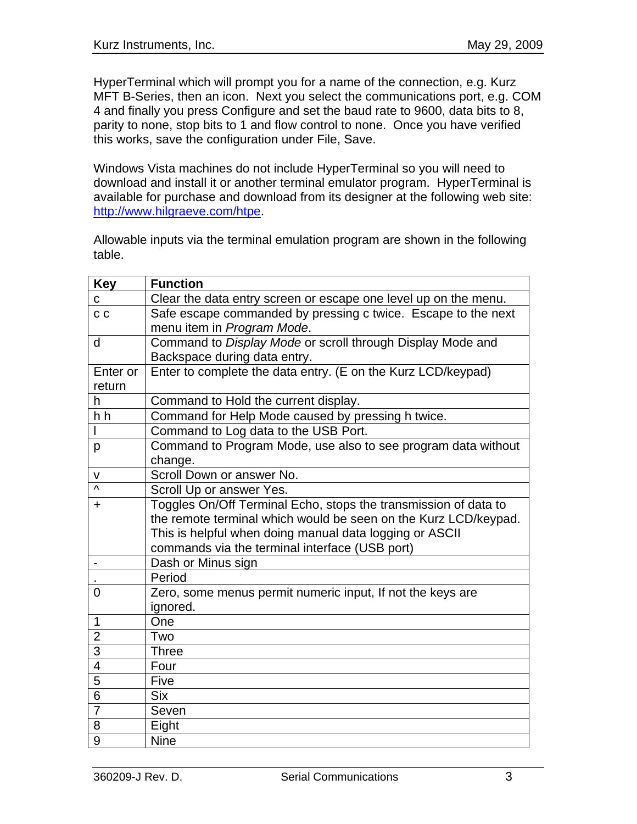HyperTerminal which will prompt you for a name of the connection, e.g. Kurz MFT B-Series, then an icon. Next you select the communications port, e.g. COM 4 and finally you press Configure and set the baud rate to 9600, data bits to 8, parity to none, stop bits to 1 and flow control to none. Once you have verified this works, save the configuration under File, Save.

Windows Vista machines do not include HyperTerminal so you will need to download and install it or another terminal emulator program. HyperTerminal is available for purchase and download from its designer at the following web site: [http://www.hilgraeve.com/htpe.](http://www.hilgraeve.com/htpe)

Allowable inputs via the terminal emulation program are shown in the following table.

| <b>Key</b>               | <b>Function</b>                                                 |
|--------------------------|-----------------------------------------------------------------|
| C                        | Clear the data entry screen or escape one level up on the menu. |
| C <sub>C</sub>           | Safe escape commanded by pressing c twice. Escape to the next   |
|                          | menu item in Program Mode.                                      |
| d                        | Command to Display Mode or scroll through Display Mode and      |
|                          | Backspace during data entry.                                    |
| Enter or                 | Enter to complete the data entry. (E on the Kurz LCD/keypad)    |
| return                   |                                                                 |
| h                        | Command to Hold the current display.                            |
| h h                      | Command for Help Mode caused by pressing h twice.               |
|                          | Command to Log data to the USB Port.                            |
| p                        | Command to Program Mode, use also to see program data without   |
|                          | change.                                                         |
| v                        | Scroll Down or answer No.                                       |
| Λ                        | Scroll Up or answer Yes.                                        |
| $\pm$                    | Toggles On/Off Terminal Echo, stops the transmission of data to |
|                          | the remote terminal which would be seen on the Kurz LCD/keypad. |
|                          | This is helpful when doing manual data logging or ASCII         |
|                          | commands via the terminal interface (USB port)                  |
|                          | Dash or Minus sign                                              |
|                          | Period                                                          |
| 0                        | Zero, some menus permit numeric input, If not the keys are      |
|                          | ignored.                                                        |
| 1                        | One                                                             |
| $\overline{2}$           | Two                                                             |
| $\overline{3}$           | <b>Three</b>                                                    |
| $\overline{\mathcal{A}}$ | Four                                                            |
| $\overline{5}$           | Five                                                            |
| $\overline{6}$           | <b>Six</b>                                                      |
| $\overline{7}$           | Seven                                                           |
| 8                        | Eight                                                           |
| 9                        | <b>Nine</b>                                                     |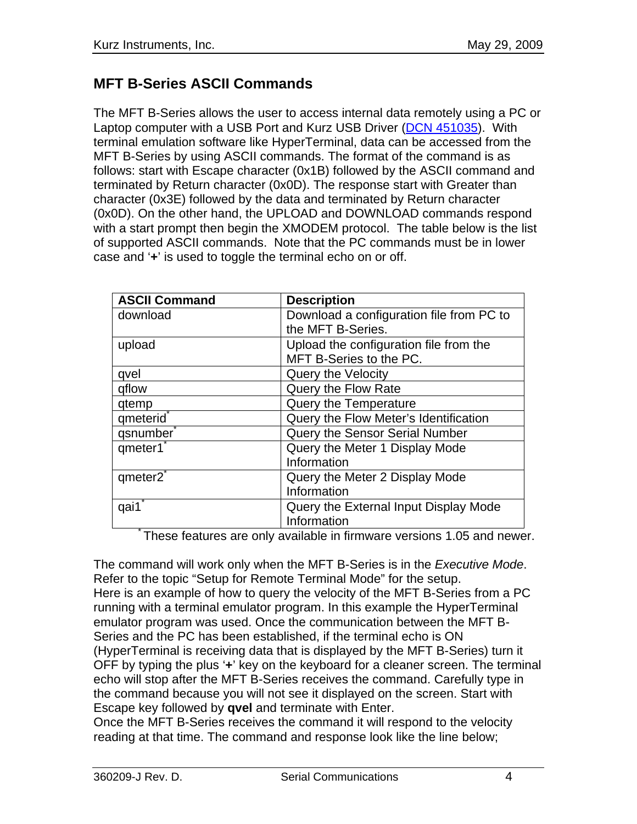# **MFT B-Series ASCII Commands**

The MFT B-Series allows the user to access internal data remotely using a PC or Laptop computer with a USB Port and Kurz USB Driver (DCN 451035). With terminal emulation software like HyperTerminal, data can be accessed from the MFT B-Series by using ASCII commands. The format of the command is as follows: start with Escape character (0x1B) followed by the ASCII command and terminated by Return character (0x0D). The response start with Greater than character (0x3E) followed by the data and terminated by Return character (0x0D). On the other hand, the UPLOAD and DOWNLOAD commands respond with a start prompt then begin the XMODEM protocol. The table below is the list of supported ASCII commands. Note that the PC commands must be in lower case and '**+**' is used to toggle the terminal echo on or off.

| <b>ASCII Command</b>  | <b>Description</b>                       |
|-----------------------|------------------------------------------|
| download              | Download a configuration file from PC to |
|                       | the MFT B-Series.                        |
| upload                | Upload the configuration file from the   |
|                       | MFT B-Series to the PC.                  |
| qvel                  | Query the Velocity                       |
| gflow                 | Query the Flow Rate                      |
| qtemp                 | Query the Temperature                    |
| qmeterid <sup>*</sup> | Query the Flow Meter's Identification    |
| qsnumber              | Query the Sensor Serial Number           |
| qmeter1               | Query the Meter 1 Display Mode           |
|                       | Information                              |
| qmeter2               | Query the Meter 2 Display Mode           |
|                       | Information                              |
| qai1                  | Query the External Input Display Mode    |
|                       | Information                              |

These features are only available in firmware versions 1.05 and newer.

The command will work only when the MFT B-Series is in the *Executive Mode*. Refer to the topic "Setup for Remote Terminal Mode" for the setup. Here is an example of how to query the velocity of the MFT B-Series from a PC running with a terminal emulator program. In this example the HyperTerminal emulator program was used. Once the communication between the MFT B-Series and the PC has been established, if the terminal echo is ON (HyperTerminal is receiving data that is displayed by the MFT B-Series) turn it OFF by typing the plus '**+**' key on the keyboard for a cleaner screen. The terminal echo will stop after the MFT B-Series receives the command. Carefully type in the command because you will not see it displayed on the screen. Start with Escape key followed by **qvel** and terminate with Enter.

Once the MFT B-Series receives the command it will respond to the velocity reading at that time. The command and response look like the line below;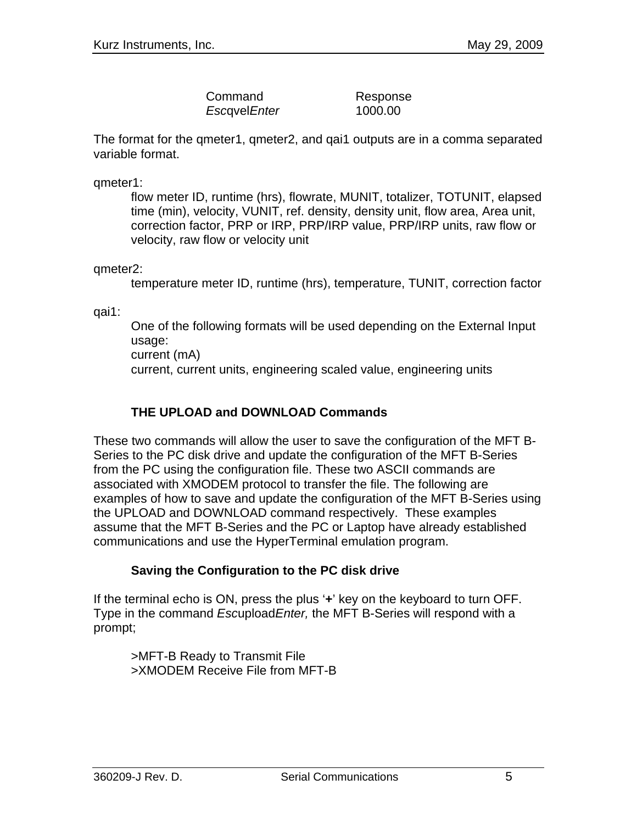| Command             | Response |
|---------------------|----------|
| <i>EscovelEnter</i> | 1000.00  |

The format for the qmeter1, qmeter2, and qai1 outputs are in a comma separated variable format.

qmeter1:

flow meter ID, runtime (hrs), flowrate, MUNIT, totalizer, TOTUNIT, elapsed time (min), velocity, VUNIT, ref. density, density unit, flow area, Area unit, correction factor, PRP or IRP, PRP/IRP value, PRP/IRP units, raw flow or velocity, raw flow or velocity unit

qmeter2:

temperature meter ID, runtime (hrs), temperature, TUNIT, correction factor

qai1:

One of the following formats will be used depending on the External Input usage: current (mA) current, current units, engineering scaled value, engineering units

### **THE UPLOAD and DOWNLOAD Commands**

These two commands will allow the user to save the configuration of the MFT B-Series to the PC disk drive and update the configuration of the MFT B-Series from the PC using the configuration file. These two ASCII commands are associated with XMODEM protocol to transfer the file. The following are examples of how to save and update the configuration of the MFT B-Series using the UPLOAD and DOWNLOAD command respectively. These examples assume that the MFT B-Series and the PC or Laptop have already established communications and use the HyperTerminal emulation program.

### **Saving the Configuration to the PC disk drive**

If the terminal echo is ON, press the plus '**+**' key on the keyboard to turn OFF. Type in the command *Esc*upload*Enter,* the MFT B-Series will respond with a prompt;

>MFT-B Ready to Transmit File >XMODEM Receive File from MFT-B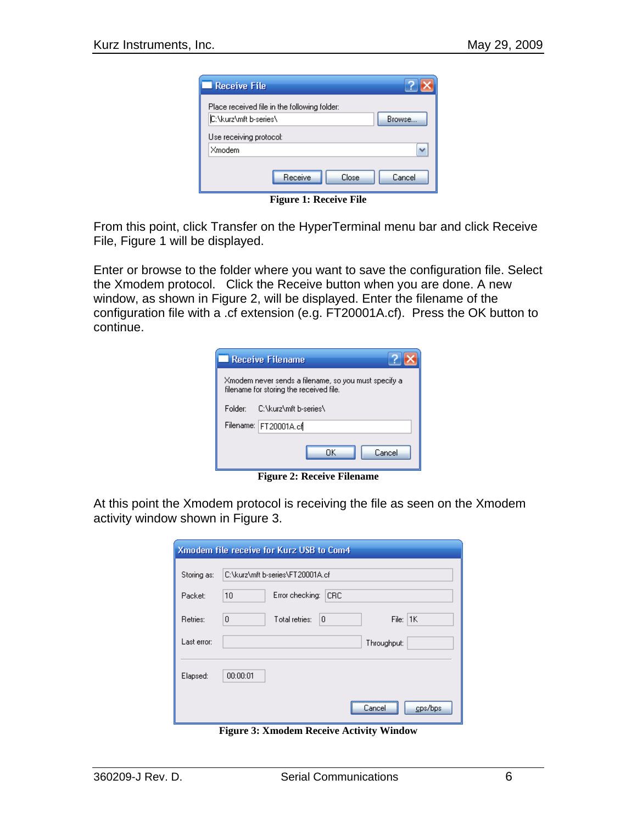| <b>Receive File</b>                          |
|----------------------------------------------|
| Place received file in the following folder: |
| C:\kurz\mft b-series\<br>Browse              |
| Use receiving protocol:                      |
| Xmodem                                       |
| Receive<br>Cancel<br>Close                   |

**Figure 1: Receive File** 

From this point, click Transfer on the HyperTerminal menu bar and click Receive File, Figure 1 will be displayed.

Enter or browse to the folder where you want to save the configuration file. Select the Xmodem protocol. Click the Receive button when you are done. A new window, as shown in Figure 2, will be displayed. Enter the filename of the configuration file with a .cf extension (e.g. FT20001A.cf). Press the OK button to continue.

|         | <b>Receive Filename</b>                                                                         |
|---------|-------------------------------------------------------------------------------------------------|
|         | Xmodem never sends a filename, so you must specify a<br>filename for storing the received file. |
| Folder: | C:\kurz\mft b-series\                                                                           |
|         | Filename: FT20001A.cf                                                                           |
|         | Cancel<br>ΠK                                                                                    |

**Figure 2: Receive Filename** 

At this point the Xmodem protocol is receiving the file as seen on the Xmodem activity window shown in Figure 3.

| Xmodem file receive for Kurz USB to Com4 |                                                 |  |
|------------------------------------------|-------------------------------------------------|--|
| Storing as:                              | C:\kurz\mft b-series\FT20001A.cf                |  |
| Packet:                                  | Error checking:<br>10<br>CRC                    |  |
| Retries:                                 | File: $ 1K $<br>$\theta$<br>Total retries:<br>0 |  |
| Last error:                              | Throughput:                                     |  |
|                                          |                                                 |  |
| Elapsed:                                 | 00:00:01                                        |  |
|                                          | cps/bps<br>Cancel                               |  |

**Figure 3: Xmodem Receive Activity Window**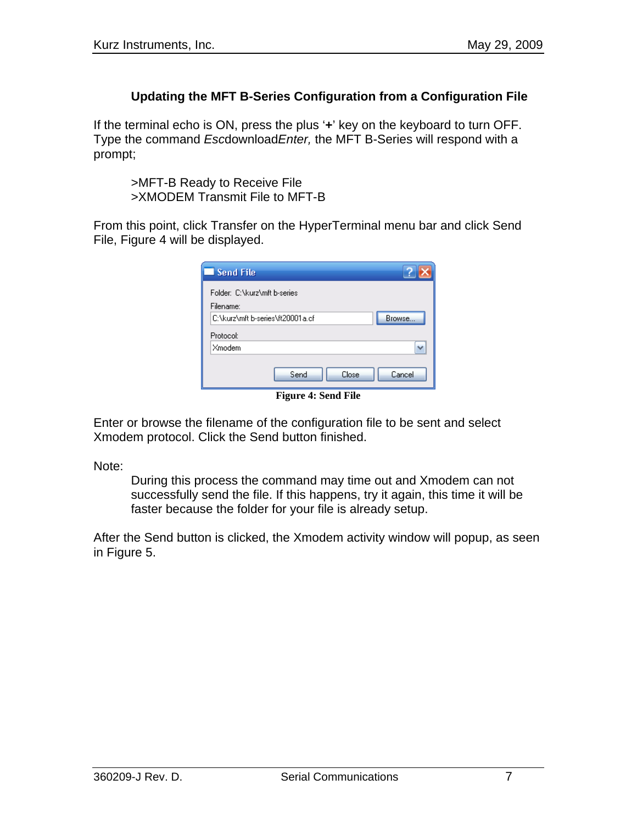### **Updating the MFT B-Series Configuration from a Configuration File**

If the terminal echo is ON, press the plus '**+**' key on the keyboard to turn OFF. Type the command *Esc*download*Enter,* the MFT B-Series will respond with a prompt;

>MFT-B Ready to Receive File >XMODEM Transmit File to MFT-B

From this point, click Transfer on the HyperTerminal menu bar and click Send File, Figure 4 will be displayed.

| Send File                                 |        |
|-------------------------------------------|--------|
| Folder: C:\kurz\mft b-series<br>Filename: |        |
| C:\kurz\mft b-series\ft20001a.cf          | Browse |
| Protocol:                                 |        |
| Xmodem                                    |        |
| Send<br>Close                             | Cancel |

**Figure 4: Send File** 

Enter or browse the filename of the configuration file to be sent and select Xmodem protocol. Click the Send button finished.

Note:

During this process the command may time out and Xmodem can not successfully send the file. If this happens, try it again, this time it will be faster because the folder for your file is already setup.

After the Send button is clicked, the Xmodem activity window will popup, as seen in Figure 5.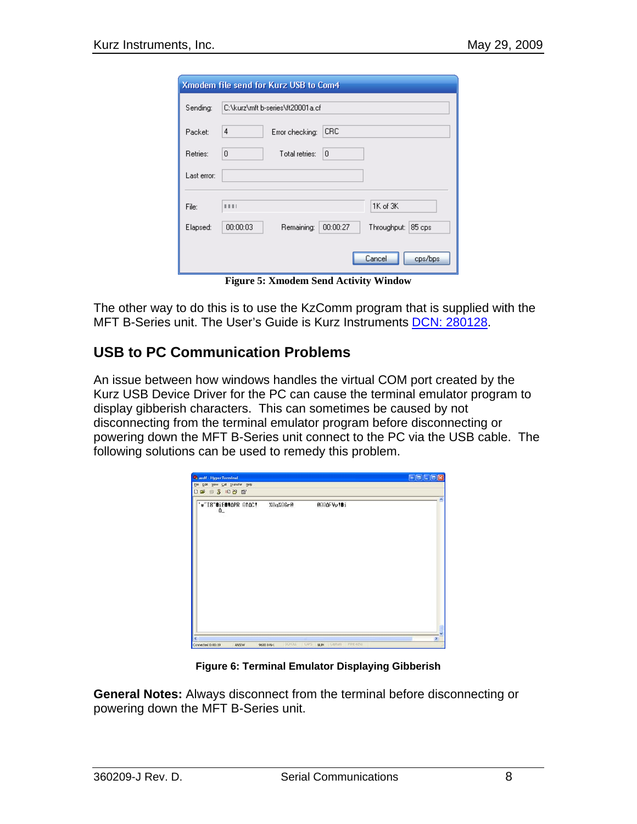| Xmodem file send for Kurz USB to Com4 |                                                             |  |
|---------------------------------------|-------------------------------------------------------------|--|
| Sending:                              | C:\kurz\mft b-series\ft20001a.cf                            |  |
| Packet:                               | 4<br>CRC.<br>Error checking:                                |  |
| Retries:                              | Total retries:<br>0<br>10                                   |  |
| Last error:                           |                                                             |  |
| File:                                 | 1K of 3K<br>1111                                            |  |
| Elapsed:                              | 00:00:03<br>00:00:27<br>Remaining:<br>Throughput:<br>85 cps |  |
|                                       | Cancel<br>cps/bps                                           |  |

**Figure 5: Xmodem Send Activity Window** 

The other way to do this is to use the KzComm program that is supplied with the MFT B-Series unit. The User's Guide is Kurz Instruments DCN: 280128.

### **USB to PC Communication Problems**

An issue between how windows handles the virtual COM port created by the Kurz USB Device Driver for the PC can cause the terminal emulator program to display gibberish characters. This can sometimes be caused by not disconnecting from the terminal emulator program before disconnecting or powering down the MFT B-Series unit connect to the PC via the USB cable. The following solutions can be used to remedy this problem.

| <b>Casdf</b> - HyperTerminal<br>Elle Edit Vew Call Transfer Help<br>18 83 08 8 |          |                                        | $\boxed{\circ\hspace{0.08cm}[\Box\hspace{0.08cm}[\Box\hspace{0.08cm}[\Box\hspace{0.08cm}[\boxtimes\hspace{0.08cm}]\hspace{0.08cm}[\boxtimes\hspace{0.08cm}]\hspace{0.08cm}}$ |
|--------------------------------------------------------------------------------|----------|----------------------------------------|------------------------------------------------------------------------------------------------------------------------------------------------------------------------------|
| w"I8"BiEBVOPR GTOC!<br>$\Omega_{-}$                                            | %0q%0Gr@ | @00ΔFYy!Bi                             |                                                                                                                                                                              |
|                                                                                |          |                                        |                                                                                                                                                                              |
|                                                                                |          |                                        |                                                                                                                                                                              |
|                                                                                |          |                                        |                                                                                                                                                                              |
|                                                                                | SCROLL   | CAPS<br>Cachine Pintedio<br><b>NUM</b> | $\mathbf{S}$                                                                                                                                                                 |

**Figure 6: Terminal Emulator Displaying Gibberish**

General Notes: Always disconnect from the terminal before disconnecting or powering down the MFT B-Series unit.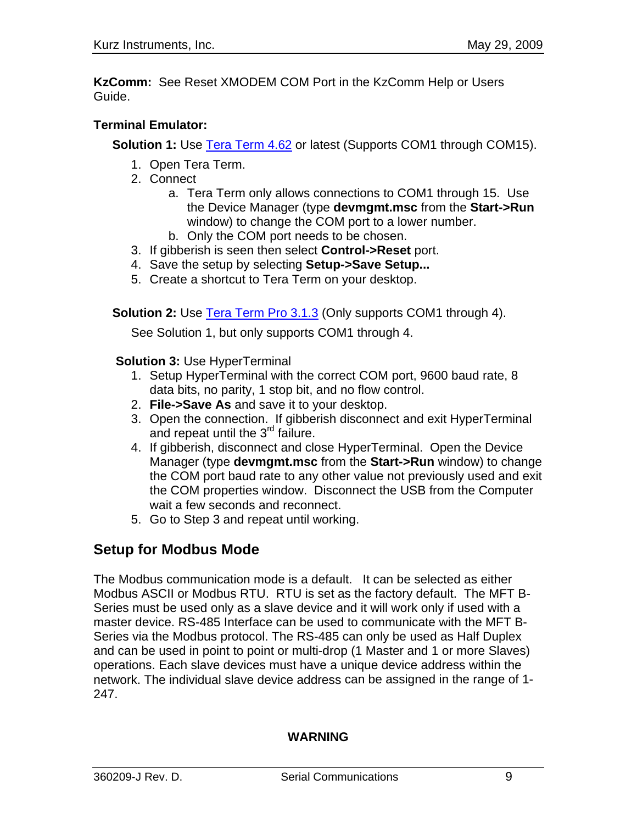**KzComm:** See Reset XMODEM COM Port in the KzComm Help or Users Guide.

### **Terminal Emulator:**

**Solution 1:** Use **Tera Term 4.62** or latest (Supports COM1 through COM15).

- 1. Open Tera Term.
- 2. Connect
	- a. Tera Term only allows connections to COM1 through 15. Use **n** the Device Manager (type **devmgmt.msc** from the **Start->Ru** window) to change the COM port to a lower number.
	- b. Only the COM port needs to be chosen.
- 3. If gibberish is seen then select **Control->Reset** port.
- 4. Save the setup by selecting **Setup->Save Setup...**
- 5. Create a shortcut to Tera Term on your desktop.

**Solution 2:** Use **Tera Term Pro 3.1.3** (Only supports COM1 through 4).

See Solution 1, but only supports COM1 through 4.

**Solution 3:** Use HyperTerminal

- 1. Setup HyperTerminal with the correct COM port, 9600 baud rate, 8 data bits, no parity, 1 stop bit, and no flow control.
- 2. **File->Save As** and save it to your desktop.
- 3. Open the connection. If gibberish disconnect and exit HyperTerminal and repeat until the 3<sup>rd</sup> failure.
- Manager (type **devmgmt.msc** from the **Start->Run** window) to change the COM port baud rate to any other value not previously used and exit 4. If gibberish, disconnect and close HyperTerminal. Open the Device the COM properties window. Disconnect the USB from the Computer wait a few seconds and reconnect.
- 5. Go to Step 3 and repeat until working.

# **Setup for Modbus Mode**

The Modbus communication mode is a default. It can be selected as either Modbus ASCII or Modbus RTU. RTU is set as the factory default. The MFT B-Series mus t be used only as a slave device and it will work only if used with a master device. RS-485 Interface can be used to communicate with the MFT B-Series via the Modbus protocol. The RS-485 can only be used as Half Duplex and can be used in point to point or multi-drop (1 Master and 1 or more Slaves) network. The individual slave device address can be assigned in the range of 1operations. Each slave devices must have a unique device address within the 247.

### **WARNING**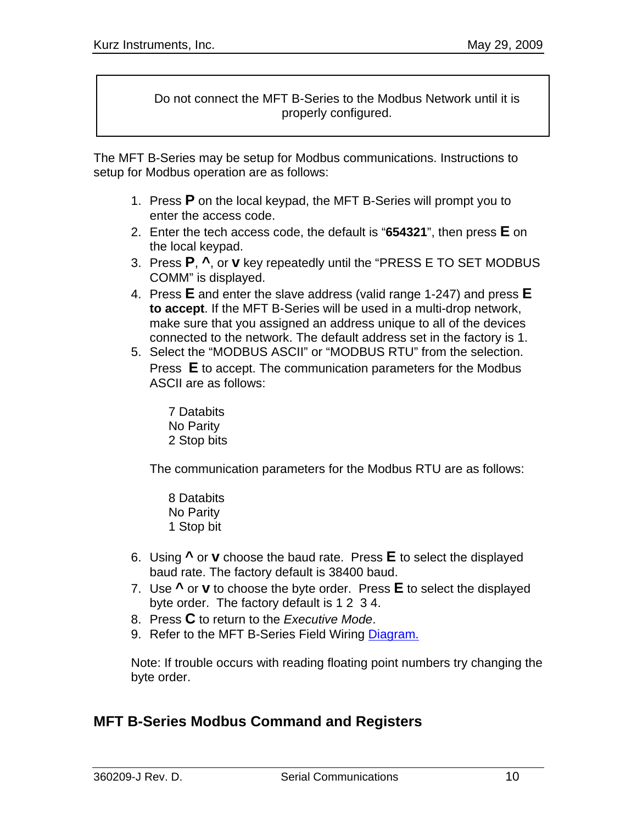Do not connect the MFT B-Series to the Modbus Network until it is properly configured.

The M FT B-Series may be setup for Modbus communications. Instructions to se tup for Modbus operation are as follows:

- 1. Press **P** on the local keypad, the MFT B-Series will prompt you to enter the access code.
- 2. Enter the tech access code, the default is "654321", then press **E** on the local keypad.
- 3. Press P,  $\lambda$ , or **v** key repeatedly until the "PRESS E TO SET MODBUS COMM" is displayed.
- 4. Press **E** and enter the slave address (valid range 1-247) and press **E to accept**. If the MFT B-Series will be used in a multi-drop network, connected to the network. The default address set in the factory is 1. make sure that you assigned an address unique to all of the devices
- 5. Select the "MODBUS ASCII" or "MODBUS RTU" from the selection. Press **E** to accept. The communication parameters for the Modbus : ASCII are as follows

7 Databits No Parity 2 Stop bits

The communication parameters for the Modbus RTU are as follows:

 8 Databits **1 Stop bit** No Parity

- 6. Using **^** or **v** choose the baud rate. Press **E** to select the displayed baud rate. The factory default is 38400 baud.
- 7. Use **^** or **v** to choose the byte order. Press **E** to select the displayed byte order. The factory default is 1 2 3 4.
- 8. Press **C** to return to the *Executive Mode*.
- 9. Refer to the MFT B-Series Field Wiring Diagram.

Note: If trouble occurs with reading floating point numbers try changing the byte order.

### **MFT B-Series Modbus Command and Registers**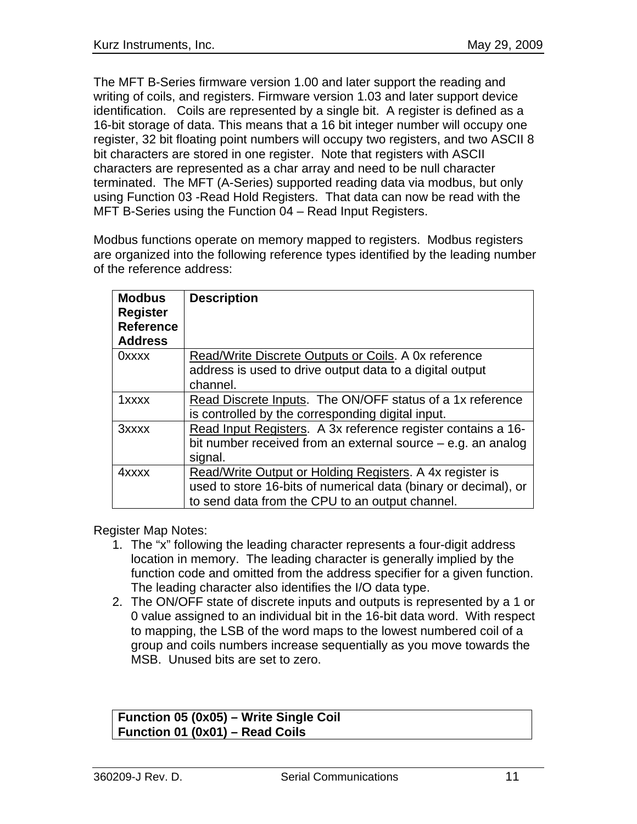The MFT B-Series firmware version 1.00 and later support the reading and 16-bit storage of data. This means that a 16 bit integer number will occupy one register, 32 bit floating point numbers will occupy two registers, and two ASCII 8 bit characters are stored in one register. Note that registers with ASCII characters are represented as a char array and need to be null character terminated. The MFT (A-Series) supported reading data via modbus, but only using Function 03 -Read Hold Registers. That data can now be read with the MFT B-Series using the Function 04 - Read Input Registers. writing of coils, and registers. Firmware version 1.03 and later support device identification. Coils are represented by a single bit. A register is defined as a

Modbus functions operate on memory mapped to registers. Modbus registers are organized into the following reference types identified by the leading number of the reference a ddress:

| <b>Modbus</b><br><b>Register</b><br><b>Reference</b><br><b>Address</b> | <b>Description</b>                                              |
|------------------------------------------------------------------------|-----------------------------------------------------------------|
| $0$ xxxx                                                               | Read/Write Discrete Outputs or Coils. A 0x reference            |
|                                                                        | address is used to drive output data to a digital output        |
|                                                                        | channel.                                                        |
| 1xxxx                                                                  | Read Discrete Inputs. The ON/OFF status of a 1x reference       |
|                                                                        | is controlled by the corresponding digital input.               |
| 3xxxx                                                                  | Read Input Registers. A 3x reference register contains a 16-    |
|                                                                        | bit number received from an external source $-$ e.g. an analog  |
|                                                                        | signal.                                                         |
| 4xxxx                                                                  | Read/Write Output or Holding Registers. A 4x register is        |
|                                                                        | used to store 16-bits of numerical data (binary or decimal), or |
|                                                                        | to send data from the CPU to an output channel.                 |

Register Map Notes:

- 1. The "x" following the leading character represents a four-digit address location in memory. The leading character is generally implied by the function code and omitted from the address specifier for a given function. The leading character also identifies the I/O data type.
- 2. The ON/OFF state of discrete inputs and outputs is represented by a 1 or 0 value assigned to an individual bit in the 16-bit data word. With respect to mapping, the LSB of the word maps to the lowest numbered coil of a group and coils numbers increase sequentially as you move towards the MSB. U nused bits are set to zero.

#### **Function 05 (0x05) – Write Single Coil ction n Fu 01 (0x01) – Read Coils**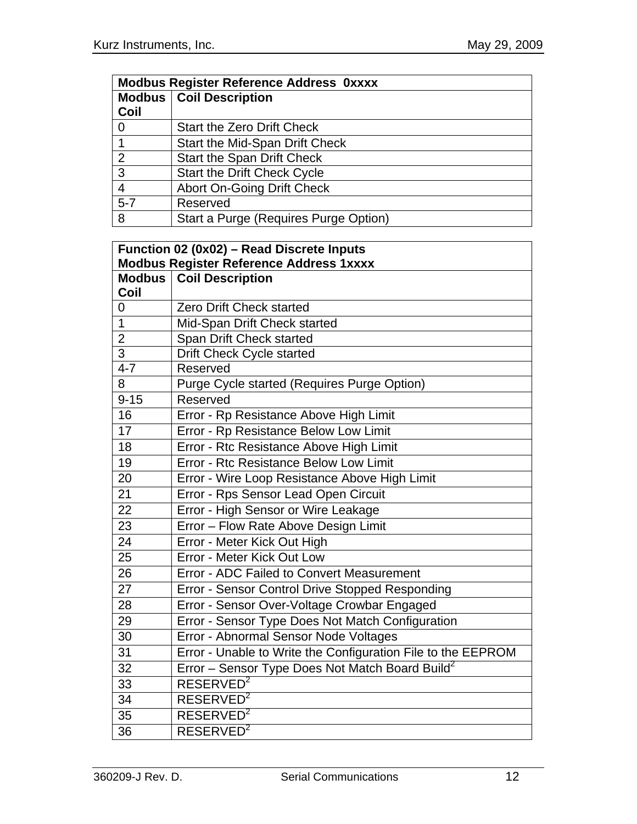| <b>Modbus Register Reference Address Oxxxx</b> |                                       |  |
|------------------------------------------------|---------------------------------------|--|
|                                                | <b>Modbus   Coil Description</b>      |  |
| Coil                                           |                                       |  |
|                                                | <b>Start the Zero Drift Check</b>     |  |
|                                                | <b>Start the Mid-Span Drift Check</b> |  |
| 2                                              | <b>Start the Span Drift Check</b>     |  |
| 3                                              | <b>Start the Drift Check Cycle</b>    |  |
| 4                                              | <b>Abort On-Going Drift Check</b>     |  |
| $5 - 7$                                        | Reserved                              |  |
| 8                                              | Start a Purge (Requires Purge Option) |  |

| Function 02 (0x02) - Read Discrete Inputs      |                                                              |  |
|------------------------------------------------|--------------------------------------------------------------|--|
| <b>Modbus Register Reference Address 1xxxx</b> |                                                              |  |
| <b>Modbus</b>                                  | <b>Coil Description</b>                                      |  |
| Coil                                           |                                                              |  |
| 0                                              | <b>Zero Drift Check started</b>                              |  |
| $\overline{1}$                                 | Mid-Span Drift Check started                                 |  |
| $\overline{2}$                                 | Span Drift Check started                                     |  |
| $\overline{3}$                                 | Drift Check Cycle started                                    |  |
| $4 - 7$                                        | Reserved                                                     |  |
| $\overline{8}$                                 | Purge Cycle started (Requires Purge Option)                  |  |
| $9 - 15$                                       | Reserved                                                     |  |
| 16                                             | Error - Rp Resistance Above High Limit                       |  |
| 17                                             | Error - Rp Resistance Below Low Limit                        |  |
| 18                                             | Error - Rtc Resistance Above High Limit                      |  |
| 19                                             | Error - Rtc Resistance Below Low Limit                       |  |
| 20                                             | Error - Wire Loop Resistance Above High Limit                |  |
| 21                                             | Error - Rps Sensor Lead Open Circuit                         |  |
| 22                                             | Error - High Sensor or Wire Leakage                          |  |
| $\overline{23}$                                | Error - Flow Rate Above Design Limit                         |  |
| 24                                             | Error - Meter Kick Out High                                  |  |
| 25                                             | Error - Meter Kick Out Low                                   |  |
| 26                                             | Error - ADC Failed to Convert Measurement                    |  |
| 27                                             | Error - Sensor Control Drive Stopped Responding              |  |
| $\overline{28}$                                | Error - Sensor Over-Voltage Crowbar Engaged                  |  |
| 29                                             | Error - Sensor Type Does Not Match Configuration             |  |
| 30                                             | Error - Abnormal Sensor Node Voltages                        |  |
| 31                                             | Error - Unable to Write the Configuration File to the EEPROM |  |
| 32                                             | Error - Sensor Type Does Not Match Board Build <sup>2</sup>  |  |
| 33                                             | RESERVED <sup>2</sup>                                        |  |
| 34                                             | RESERVED <sup>2</sup>                                        |  |
| 35                                             | RESERVED <sup>2</sup>                                        |  |
| $\overline{36}$                                | RESERVED <sup>2</sup>                                        |  |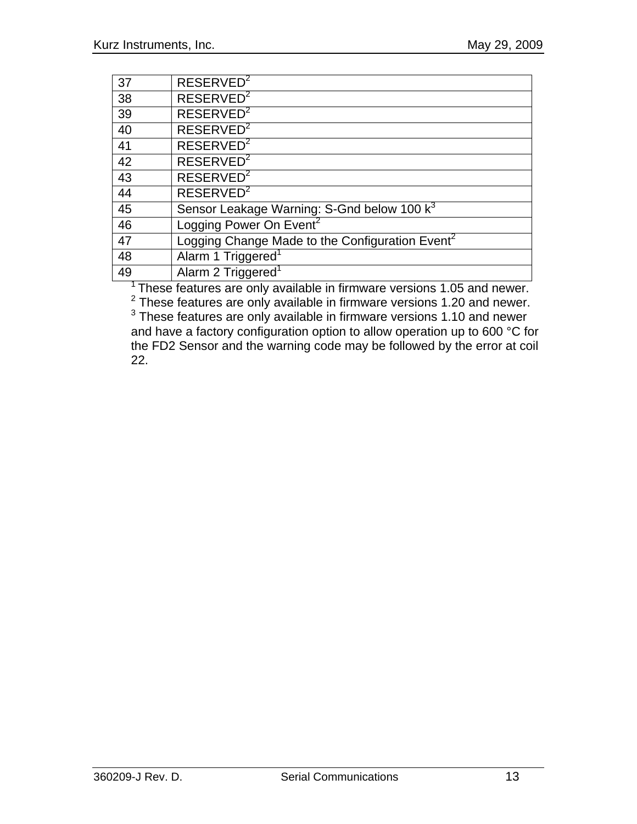| 37 | RESERVED <sup>2</sup>                                       |
|----|-------------------------------------------------------------|
| 38 | RESERVED <sup>2</sup>                                       |
| 39 | RESERVED <sup>2</sup>                                       |
| 40 | RESERVED <sup>2</sup>                                       |
| 41 | RESERVED <sup>2</sup>                                       |
| 42 | RESERVED <sup>2</sup>                                       |
| 43 | RESERVED <sup>2</sup>                                       |
| 44 | RESERVED <sup>2</sup>                                       |
| 45 | Sensor Leakage Warning: S-Gnd below 100 k <sup>3</sup>      |
| 46 | Logging Power On Event <sup>2</sup>                         |
| 47 | Logging Change Made to the Configuration Event <sup>2</sup> |
| 48 | Alarm 1 Triggered <sup>1</sup>                              |
| 49 | Alarm 2 Triggered <sup>1</sup>                              |

<sup>1</sup> These features are only available in firmware versions 1.05 and newer.<br>
<sup>2</sup> These features are only available in firmware versions 1.20 and newer.<br>
<sup>3</sup> These features are only available in firmware versions 1.10 and n

and have a factory configuration option to allow operation up to 600 °C for the FD2 Sensor and the warning code may be followed by the error at coil 22.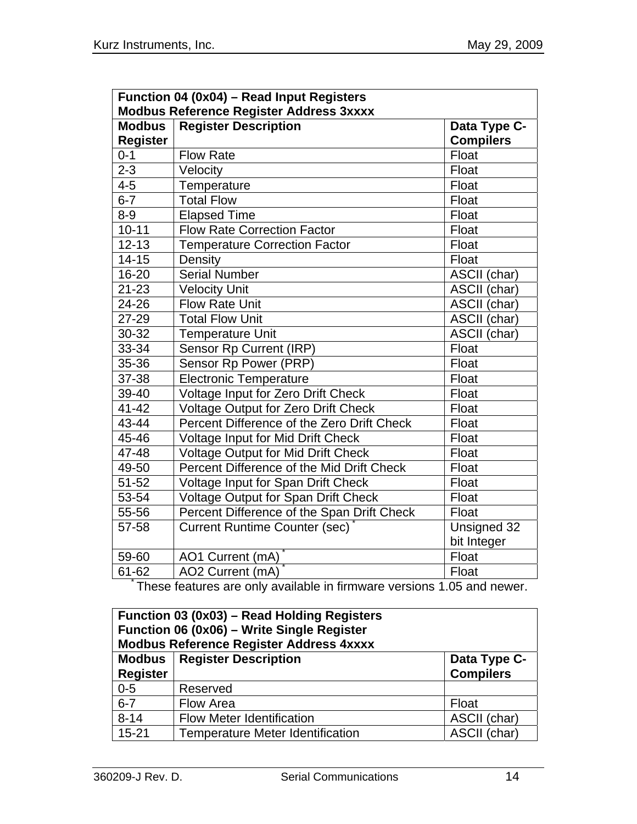| Function 04 (0x04) - Read Input Registers      |                                               |                  |  |
|------------------------------------------------|-----------------------------------------------|------------------|--|
| <b>Modbus Reference Register Address 3xxxx</b> |                                               |                  |  |
| <b>Modbus</b>                                  | <b>Register Description</b><br>Data Type C-   |                  |  |
| <b>Register</b>                                |                                               | <b>Compilers</b> |  |
| $0 - 1$                                        | <b>Flow Rate</b>                              | Float            |  |
| $2 - 3$                                        | Velocity<br>Float                             |                  |  |
| $4 - 5$                                        | Temperature<br>Float                          |                  |  |
| $6 - 7$                                        | <b>Total Flow</b>                             | Float            |  |
| $8 - 9$                                        | <b>Elapsed Time</b><br>Float                  |                  |  |
| $10 - 11$                                      | <b>Flow Rate Correction Factor</b><br>Float   |                  |  |
| $12 - 13$                                      | <b>Temperature Correction Factor</b><br>Float |                  |  |
| $14 - 15$                                      | Density<br>Float                              |                  |  |
| 16-20                                          | <b>Serial Number</b><br>ASCII (char)          |                  |  |
| $21 - 23$                                      | <b>Velocity Unit</b>                          | ASCII (char)     |  |
| 24-26                                          | <b>Flow Rate Unit</b><br>ASCII (char)         |                  |  |
| 27-29                                          | <b>Total Flow Unit</b>                        | ASCII (char)     |  |
| 30-32                                          | <b>Temperature Unit</b>                       | ASCII (char)     |  |
| 33-34                                          | Sensor Rp Current (IRP)                       | Float            |  |
| 35-36                                          | Sensor Rp Power (PRP)                         | Float            |  |
| 37-38                                          | <b>Electronic Temperature</b>                 | Float            |  |
| 39-40                                          | Voltage Input for Zero Drift Check            | Float            |  |
| $41 - 42$                                      | <b>Voltage Output for Zero Drift Check</b>    | Float            |  |
| 43-44                                          | Percent Difference of the Zero Drift Check    | Float            |  |
| 45-46                                          | Voltage Input for Mid Drift Check             | Float            |  |
| 47-48                                          | Voltage Output for Mid Drift Check            | Float            |  |
| 49-50                                          | Percent Difference of the Mid Drift Check     | Float            |  |
| 51-52                                          | Voltage Input for Span Drift Check            | Float            |  |
| 53-54                                          | <b>Voltage Output for Span Drift Check</b>    | Float            |  |
| 55-56                                          | Percent Difference of the Span Drift Check    | Float            |  |
| 57-58                                          | <b>Current Runtime Counter (sec)</b>          | Unsigned 32      |  |
|                                                |                                               | bit Integer      |  |
| 59-60                                          | AO1 Current (mA)                              | Float            |  |
| 61-62                                          | AO2 Current (mA)                              | Float            |  |

\* These features are only available in firmware versions 1.05 and newer.

| Function 03 (0x03) – Read Holding Registers<br>Function 06 (0x06) - Write Single Register<br><b>Modbus Reference Register Address 4xxxx</b> |                                         |                                  |
|---------------------------------------------------------------------------------------------------------------------------------------------|-----------------------------------------|----------------------------------|
| <b>Register</b>                                                                                                                             | <b>Modbus</b>   Register Description    | Data Type C-<br><b>Compilers</b> |
| $0 - 5$                                                                                                                                     | Reserved                                |                                  |
| $6 - 7$                                                                                                                                     | Flow Area                               | Float                            |
| $8 - 14$                                                                                                                                    | <b>Flow Meter Identification</b>        | ASCII (char)                     |
| $15 - 21$                                                                                                                                   | <b>Temperature Meter Identification</b> | ASCII (char)                     |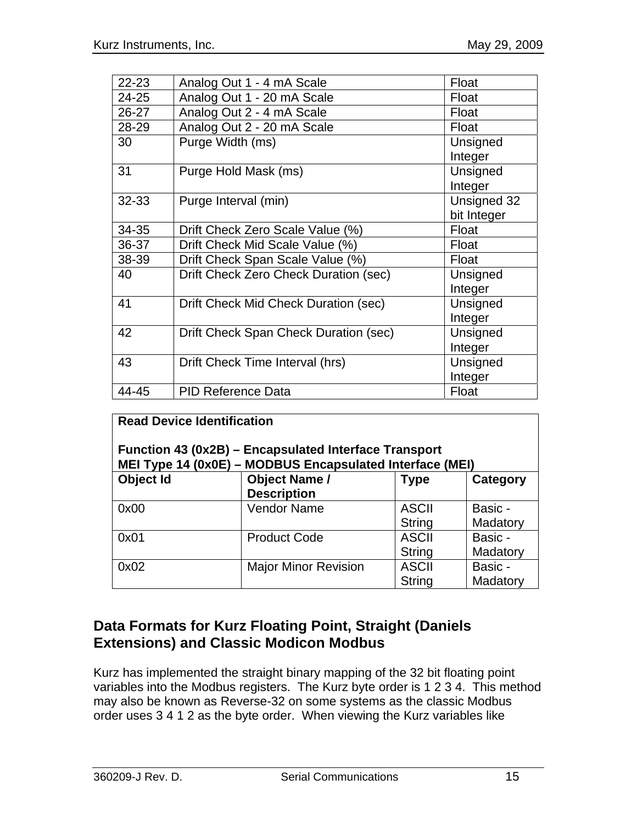| $22 - 23$ | Analog Out 1 - 4 mA Scale             | Float       |
|-----------|---------------------------------------|-------------|
| 24-25     | Analog Out 1 - 20 mA Scale<br>Float   |             |
| 26-27     | Analog Out 2 - 4 mA Scale             | Float       |
| 28-29     | Analog Out 2 - 20 mA Scale<br>Float   |             |
| 30        | Purge Width (ms)                      | Unsigned    |
|           |                                       | Integer     |
| 31        | Purge Hold Mask (ms)                  | Unsigned    |
|           |                                       | Integer     |
| 32-33     | Purge Interval (min)                  | Unsigned 32 |
|           |                                       | bit Integer |
| 34-35     | Drift Check Zero Scale Value (%)      | Float       |
| 36-37     | Drift Check Mid Scale Value (%)       | Float       |
| 38-39     | Drift Check Span Scale Value (%)      | Float       |
| 40        | Drift Check Zero Check Duration (sec) | Unsigned    |
|           |                                       | Integer     |
| 41        | Drift Check Mid Check Duration (sec)  | Unsigned    |
|           |                                       | Integer     |
| 42        | Drift Check Span Check Duration (sec) | Unsigned    |
|           |                                       | Integer     |
| 43        | Drift Check Time Interval (hrs)       | Unsigned    |
|           |                                       | Integer     |
| 44-45     | <b>PID Reference Data</b>             | Float       |

| <b>Read Device Identification</b><br>Function 43 (0x2B) – Encapsulated Interface Transport<br>MEI Type 14 (0x0E) - MODBUS Encapsulated Interface (MEI) |                                            |                               |                     |
|--------------------------------------------------------------------------------------------------------------------------------------------------------|--------------------------------------------|-------------------------------|---------------------|
| Object Id                                                                                                                                              | <b>Object Name /</b><br><b>Description</b> | <b>Type</b>                   | Category            |
| 0x00                                                                                                                                                   | <b>Vendor Name</b>                         | <b>ASCII</b><br><b>String</b> | Basic -<br>Madatory |
| 0x01                                                                                                                                                   | <b>Product Code</b>                        | <b>ASCII</b><br><b>String</b> | Basic -<br>Madatory |
| 0x02                                                                                                                                                   | <b>Major Minor Revision</b>                | <b>ASCII</b><br><b>String</b> | Basic -<br>Madatory |

## **Data Formats for Kurz Floating Point, Straight (Daniels Extensions) and Classic Modicon Modbus**

Kurz has implemented the straight binary mapping of the 32 bit floating point variables into the Modbus registers. The Kurz byte order is 1 2 3 4. This method may also be known as Reverse-32 on some systems as the classic Modbus order uses 3 4 1 2 as the byte order. When viewing the Kurz variables like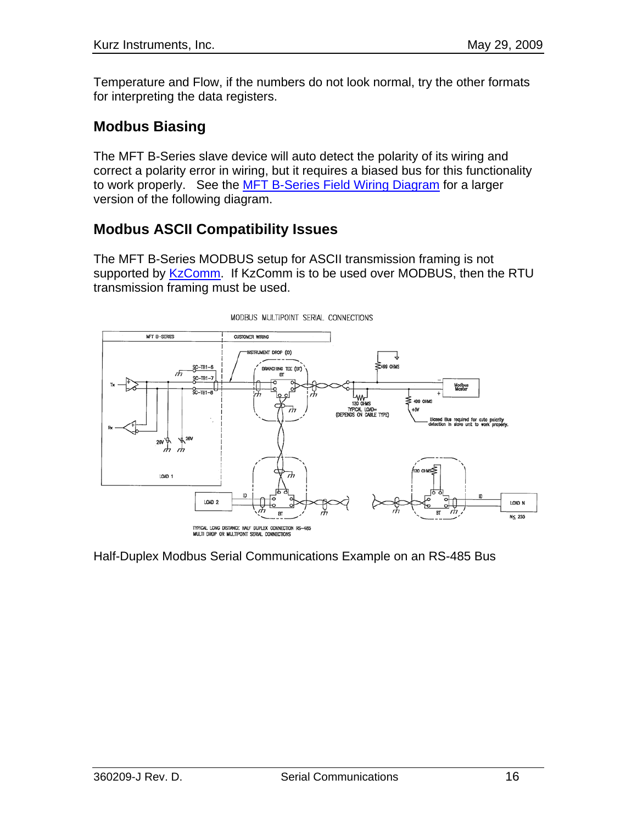Temperature and Flow, if the numbers do not look normal, try the other formats for interpreting the data registers.

# **Modbus Biasing**

The MFT B-Series slave device will auto detect the polarity of its wiring and correct a polarity error in wiring, but it requires a biased bus for this functionality to work properly. See the MFT B-Series Field Wiring Diagram for a larger version of the following diagram.

## **Modbus ASCII Compatibility Issues**

The MFT B-Series MODBUS setup for ASCII transmission framing is not supported by KzComm. If KzComm is to be used over MODBUS, then the RTU transmission framing must be used.



Half-Duplex Modbus Serial Communications Example on an RS-485 Bus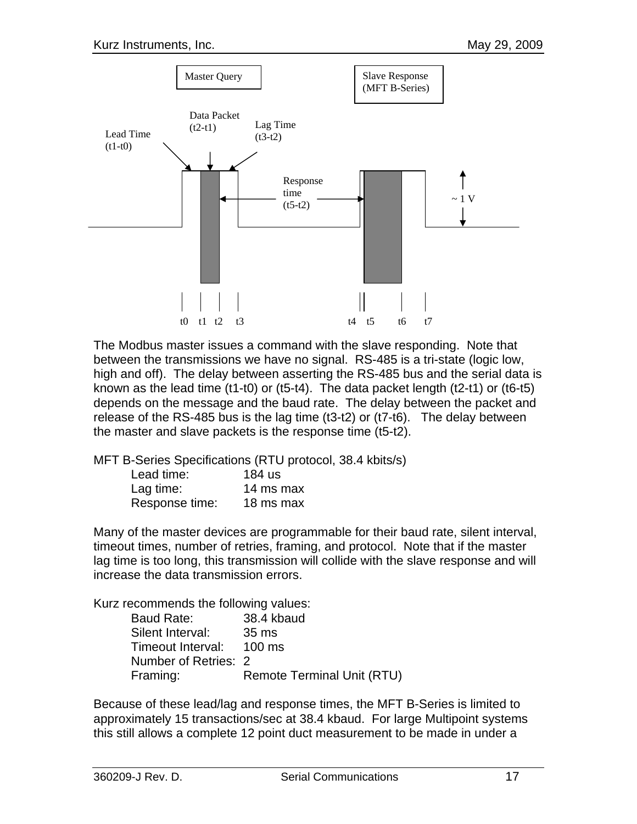

The Modbus master issues a command with the slave responding. Note that between the transmissions we have no signal. RS-485 is a tri-state (logic low, high and off). The delay between asserting the RS-485 bus and the serial data is known as the lead time (t1-t0) or (t5-t4). The data packet length (t2-t1) or (t6-t5) depends on the message and the baud rate. The delay between the packet and release of the RS-485 bus is the lag time (t3-t2) or (t7-t6). The delay between the master and slave packets is the response time (t5-t2).

MFT B-Series Specifications (RTU protocol, 38.4 kbits/s)

| Lead time:     | 184 us    |
|----------------|-----------|
| Lag time:      | 14 ms max |
| Response time: | 18 ms max |

Many of the master devices are programmable for their baud rate, silent interval, timeout times, number of retries, framing, and protocol. Note that if the master lag time is too long, this transmission will collide with the slave response and will increase the data transmission errors.

Kurz recommends the following values:

| Baud Rate:               | 38.4 kbaud                        |
|--------------------------|-----------------------------------|
| Silent Interval:         | 35 ms                             |
| Timeout Interval: 100 ms |                                   |
| Number of Retries: 2     |                                   |
| Framing:                 | <b>Remote Terminal Unit (RTU)</b> |

Because of these lead/lag and response times, the MFT B-Series is limited to approximately 15 transactions/sec at 38.4 kbaud. For large Multipoint systems this still allows a complete 12 point duct measurement to be made in under a